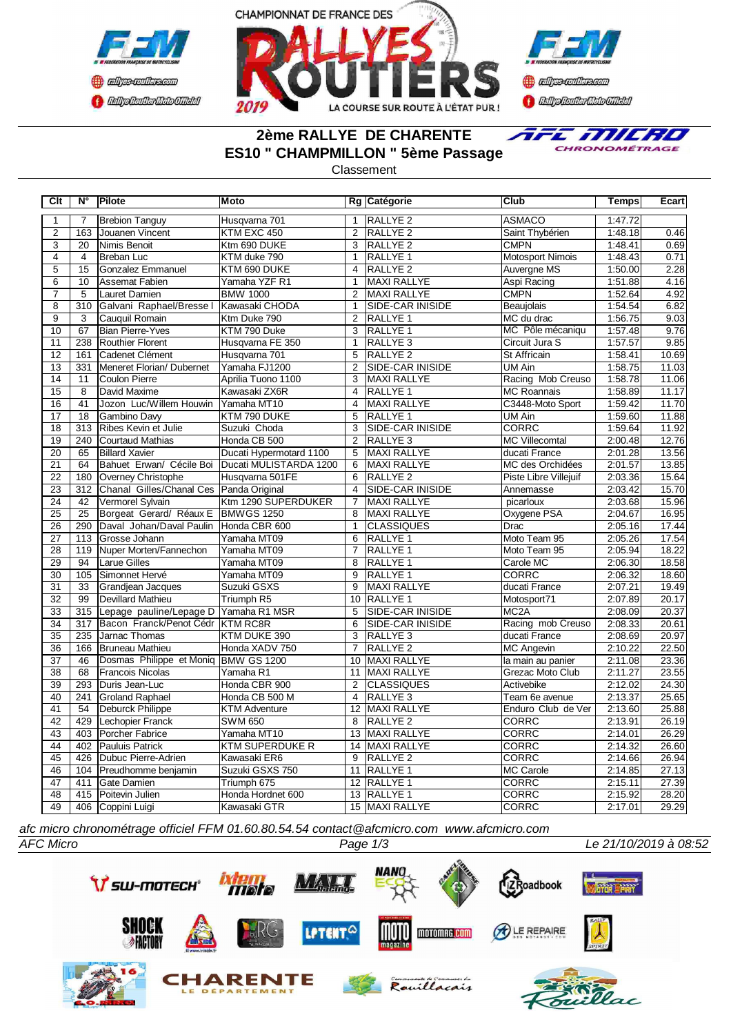





# **2ème RALLYE DE CHARENTE ES10 " CHAMPMILLON " 5ème Passage**



Classement

| Clt                     | N°               | Pilote                             | <b>Moto</b>             |                | Rg Catégorie            | <b>Club</b>           | Temps   | Ecart |
|-------------------------|------------------|------------------------------------|-------------------------|----------------|-------------------------|-----------------------|---------|-------|
| 1                       | $\overline{7}$   | <b>Brebion Tanguy</b>              | Husqvarna 701           | 1              | <b>RALLYE 2</b>         | <b>ASMACO</b>         | 1:47.72 |       |
| $\overline{2}$          | 163              | Jouanen Vincent                    | KTM EXC 450             | $\overline{2}$ | <b>RALLYE 2</b>         | Saint Thybérien       | 1:48.18 | 0.46  |
| $\overline{3}$          | 20               | Nimis Benoit                       | Ktm 690 DUKE            | 3              | RALLYE <sub>2</sub>     | <b>CMPN</b>           | 1:48.41 | 0.69  |
| $\overline{4}$          | $\overline{4}$   | <b>Breban Luc</b>                  | KTM duke 790            | $\mathbf{1}$   | <b>RALLYE 1</b>         | Motosport Nimois      | 1:48.43 | 0.71  |
| $\overline{5}$          | 15               | Gonzalez Emmanuel                  | KTM 690 DUKE            | 4              | <b>RALLYE 2</b>         | Auvergne MS           | 1:50.00 | 2.28  |
| 6                       | 10               | Assemat Fabien                     | Yamaha YZF R1           | $\mathbf{1}$   | <b>MAXI RALLYE</b>      | Aspi Racing           | 1:51.88 | 4.16  |
| $\overline{7}$          | 5                | Lauret Damien                      | <b>BMW 1000</b>         | $\overline{2}$ | <b>MAXI RALLYE</b>      | <b>CMPN</b>           | 1:52.64 | 4.92  |
| $\overline{\mathbf{8}}$ | $\overline{310}$ | Galvani Raphael/Bresse I           | Kawasaki CHODA          | $\mathbf{1}$   | SIDE-CAR INISIDE        | Beaujolais            | 1:54.54 | 6.82  |
| $\overline{9}$          | 3                | Cauquil Romain                     | Ktm Duke 790            | 2              | RALLYE <sub>1</sub>     | MC du drac            | 1:56.75 | 9.03  |
| 10                      | 67               | <b>Bian Pierre-Yves</b>            | KTM 790 Duke            | 3              | RALLYE <sub>1</sub>     | MC Pôle mécaniqu      | 1:57.48 | 9.76  |
| 11                      | 238              | Routhier Florent                   | Husqvarna FE 350        | $\mathbf{1}$   | RALLYE <sub>3</sub>     | Circuit Jura S        | 1:57.57 | 9.85  |
| 12                      | 161              | Cadenet Clément                    | Husqvarna 701           | $\overline{5}$ | RALLYE <sub>2</sub>     | <b>St Affricain</b>   | 1:58.41 | 10.69 |
| 13                      | 331              | Meneret Florian/ Dubernet          | Yamaha FJ1200           | $\overline{2}$ | SIDE-CAR INISIDE        | <b>UM Ain</b>         | 1:58.75 | 11.03 |
| 14                      | 11               | Coulon Pierre                      | Aprilia Tuono 1100      | 3              | <b>MAXI RALLYE</b>      | Racing Mob Creuso     | 1:58.78 | 11.06 |
| $\overline{15}$         | 8                | David Maxime                       | Kawasaki ZX6R           | $\overline{4}$ | RALLYE 1                | <b>MC Roannais</b>    | 1:58.89 | 11.17 |
| 16                      | $\overline{41}$  | Jozon Luc/Willem Houwin            | Yamaha MT10             | $\overline{4}$ | <b>MAXI RALLYE</b>      | C3448-Moto Sport      | 1:59.42 | 11.70 |
| 17                      | 18               | Gambino Davy                       | KTM 790 DUKE            | 5              | <b>RALLYE 1</b>         | <b>UM Ain</b>         | 1:59.60 | 11.88 |
| 18                      | 313              | Ribes Kevin et Julie               | Suzuki Choda            | 3              | SIDE-CAR INISIDE        | <b>CORRC</b>          | 1:59.64 | 11.92 |
| 19                      | 240              | Courtaud Mathias                   | Honda CB 500            | 2              | RALLYE 3                | MC Villecomtal        | 2:00.48 | 12.76 |
| 20                      | 65               | <b>Billard Xavier</b>              | Ducati Hypermotard 1100 | 5              | <b>MAXI RALLYE</b>      | ducati France         | 2:01.28 | 13.56 |
| $\overline{21}$         | 64               | Bahuet Erwan/ Cécile Boi           | Ducati MULISTARDA 1200  | 6              | <b>MAXI RALLYE</b>      | MC des Orchidées      | 2:01.57 | 13.85 |
| 22                      | 180              | Overney Christophe                 | Husqvarna 501FE         | 6              | <b>RALLYE 2</b>         | Piste Libre Villejuif | 2:03.36 | 15.64 |
| 23                      | 312              | Chanal Gilles/Chanal Ces           | Panda Original          | $\overline{4}$ | <b>SIDE-CAR INISIDE</b> | Annemasse             | 2:03.42 | 15.70 |
| $\overline{24}$         | 42               | Vermorel Sylvain                   | Ktm 1290 SUPERDUKER     | $\overline{7}$ | <b>MAXI RALLYE</b>      | picarloux             | 2:03.68 | 15.96 |
| 25                      | 25               | Borgeat Gerard/ Réaux E BMWGS 1250 |                         | 8              | <b>MAXI RALLYE</b>      | Oxygene PSA           | 2:04.67 | 16.95 |
| 26                      | 290              | Daval Johan/Daval Paulin           | Honda CBR 600           | $\mathbf{1}$   | <b>CLASSIQUES</b>       | Drac                  | 2:05.16 | 17.44 |
| 27                      | 113              | Grosse Johann                      | Yamaha MT09             | 6              | RALLYE 1                | Moto Team 95          | 2:05.26 | 17.54 |
| 28                      | 119              | Nuper Morten/Fannechon             | Yamaha MT09             | 7              | RALLYE 1                | Moto Team 95          | 2:05.94 | 18.22 |
| 29                      | 94               | <b>Larue Gilles</b>                | Yamaha MT09             | 8              | RALLYE 1                | Carole MC             | 2:06.30 | 18.58 |
| 30                      | 105              | Simonnet Hervé                     | Yamaha MT09             | 9              | RALLYE 1                | <b>CORRC</b>          | 2:06.32 | 18.60 |
| 31                      | 33               | Grandjean Jacques                  | Suzuki GSXS             | 9              | <b>MAXI RALLYE</b>      | ducati France         | 2:07.21 | 19.49 |
| 32                      | 99               | Devillard Mathieu                  | Triumph R5              | 10             | <b>RALLYE 1</b>         | Motosport71           | 2:07.89 | 20.17 |
| 33                      | 315              | Lepage pauline/Lepage D            | Yamaha R1 MSR           | $\overline{5}$ | <b>SIDE-CAR INISIDE</b> | MC <sub>2</sub> A     | 2:08.09 | 20.37 |
| $\overline{34}$         | $\overline{317}$ | Bacon Franck/Penot Cédr            | <b>KTM RC8R</b>         | 6              | <b>SIDE-CAR INISIDE</b> | Racing mob Creuso     | 2:08.33 | 20.61 |
| 35                      | 235              | Jarnac Thomas                      | KTM DUKE 390            | 3              | RALLYE <sub>3</sub>     | ducati France         | 2:08.69 | 20.97 |
| 36                      | 166              | Bruneau Mathieu                    | Honda XADV 750          | $\overline{7}$ | <b>RALLYE 2</b>         | <b>MC Angevin</b>     | 2:10.22 | 22.50 |
| 37                      | 46               | Dosmas Philippe et Moniq           | <b>BMW GS 1200</b>      | 10             | MAXI RALLYE             | la main au panier     | 2:11.08 | 23.36 |
| 38                      | 68               | <b>Francois Nicolas</b>            | Yamaha R1               | 11             | <b>MAXI RALLYE</b>      | Grezac Moto Club      | 2:11.27 | 23.55 |
| 39                      | 293              | <b>I</b> Duris Jean-Luc            | Honda CBR 900           | 2              | <b>CLASSIQUES</b>       | Activebike            | 2:12.02 | 24.30 |
| 40                      | 241              | Groland Raphael                    | Honda CB 500 M          | $\overline{4}$ | RALLYE <sub>3</sub>     | Team 6e avenue        | 2:13.37 | 25.65 |
| 41                      | 54               | <b>Deburck Philippe</b>            | <b>KTM Adventure</b>    | 12             | <b>MAXI RALLYE</b>      | Enduro Club de Ver    | 2:13.60 | 25.88 |
| 42                      | 429              | Lechopier Franck                   | <b>SWM 650</b>          | 8              | <b>RALLYE 2</b>         | <b>CORRC</b>          | 2:13.91 | 26.19 |
| 43                      | 403              | Porcher Fabrice                    | Yamaha MT10             | 13             | MAXI RALLYE             | <b>CORRC</b>          | 2:14.01 | 26.29 |
| 44                      | 402              | Pauluis Patrick                    | <b>KTM SUPERDUKE R</b>  | 14             | MAXI RALLYE             | <b>CORRC</b>          | 2:14.32 | 26.60 |
| 45                      | 426              | Dubuc Pierre-Adrien                | Kawasaki ER6            | 9              | RALLYE <sub>2</sub>     | <b>CORRC</b>          | 2:14.66 | 26.94 |
| 46                      | 104              | Preudhomme benjamin                | Suzuki GSXS 750         | 11             | <b>RALLYE 1</b>         | <b>MC Carole</b>      | 2:14.85 | 27.13 |
| 47                      | 411              | <b>Gate Damien</b>                 | Triumph 675             | 12             | RALLYE 1                | CORRC                 | 2:15.11 | 27.39 |
| 48                      | 415              | Poitevin Julien                    | Honda Hordnet 600       | 13             | <b>RALLYE 1</b>         | <b>CORRC</b>          | 2:15.92 | 28.20 |
| 49                      | 406              | Coppini Luigi                      | Kawasaki GTR            |                | 15 MAXI RALLYE          | <b>CORRC</b>          | 2:17.01 | 29.29 |

*afc micro chronométrage officiel FFM 01.60.80.54.54 contact@afcmicro.com www.afcmicro.com*

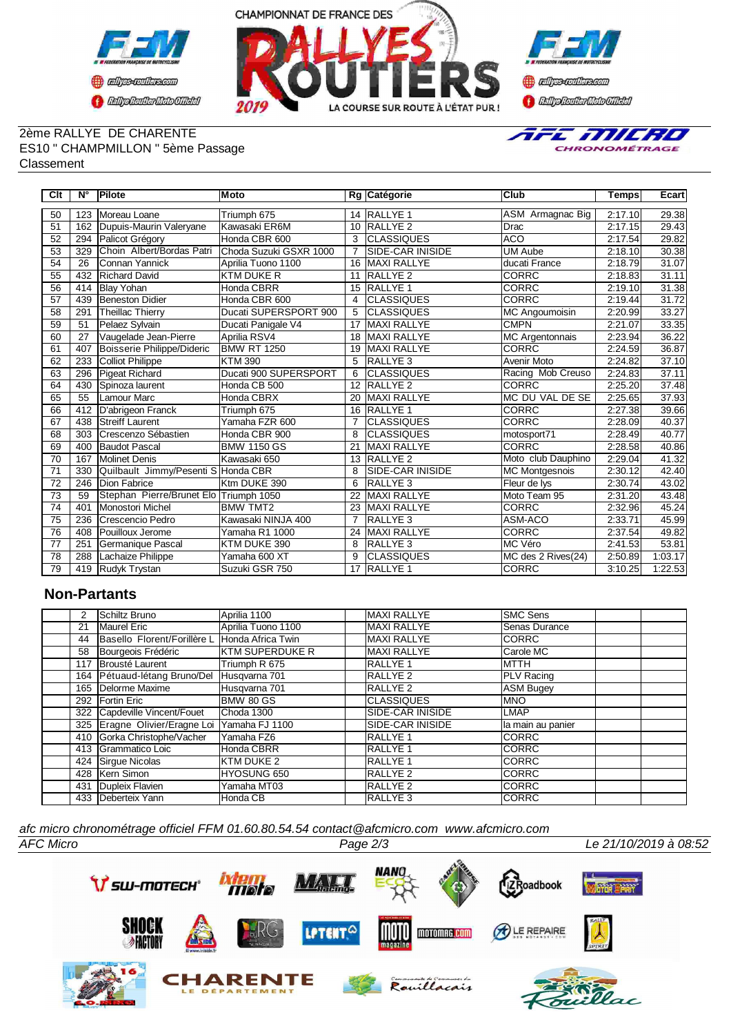



### 2ème RALLYE DE CHARENTE ES10 " CHAMPMILLON " 5ème Passage Classement



| Clt             | N°  | <b>Pilote</b>                          | Moto                   |                | Rg Catégorie              | Club                   | Temps   | Ecart   |
|-----------------|-----|----------------------------------------|------------------------|----------------|---------------------------|------------------------|---------|---------|
| 50              | 123 | Moreau Loane                           | Triumph 675            | 14             | <b>RALLYE 1</b>           | ASM Armagnac Big       | 2:17.10 | 29.38   |
| 51              | 162 | Dupuis-Maurin Valeryane                | Kawasaki ER6M          | 10             | RALLYE <sub>2</sub>       | Drac                   | 2:17.15 | 29.43   |
| 52              | 294 | Palicot Grégory                        | Honda CBR 600          | 3              | <b>CLASSIQUES</b>         | <b>ACO</b>             | 2:17.54 | 29.82   |
| 53              | 329 | Choin Albert/Bordas Patri              | Choda Suzuki GSXR 1000 | $\overline{7}$ | <b>I</b> SIDE-CAR INISIDE | <b>UM Aube</b>         | 2:18.10 | 30.38   |
| 54              | 26  | <b>I</b> Connan Yannick                | Aprilia Tuono 1100     | 16             | <b>MAXI RALLYE</b>        | ducati France          | 2:18.79 | 31.07   |
| 55              | 432 | <b>Richard David</b>                   | <b>KTM DUKE R</b>      | 11             | RALLYE <sub>2</sub>       | <b>CORRC</b>           | 2:18.83 | 31.11   |
| 56              | 414 | <b>Blay Yohan</b>                      | Honda CBRR             | 15             | <b>IRALLYE 1</b>          | <b>CORRC</b>           | 2:19.10 | 31.38   |
| 57              | 439 | Beneston Didier                        | Honda CBR 600          | 4              | <b>CLASSIQUES</b>         | <b>CORRC</b>           | 2:19.44 | 31.72   |
| 58              | 291 | Theillac Thierry                       | Ducati SUPERSPORT 900  | 5              | <b>CLASSIQUES</b>         | <b>MC Angoumoisin</b>  | 2:20.99 | 33.27   |
| 59              | 51  | Pelaez Sylvain                         | Ducati Panigale V4     | 17             | <b>MAXI RALLYE</b>        | <b>CMPN</b>            | 2:21.07 | 33.35   |
| 60              | 27  | Vaugelade Jean-Pierre                  | Aprilia RSV4           | 18             | <b>MAXI RALLYE</b>        | <b>MC Argentonnais</b> | 2:23.94 | 36.22   |
| 61              | 407 | Boisserie Philippe/Dideric             | <b>BMW RT 1250</b>     | 19             | <b>MAXI RALLYE</b>        | <b>CORRC</b>           | 2:24.59 | 36.87   |
| 62              | 233 | Colliot Philippe                       | <b>KTM 390</b>         | 5              | <b>RALLYE3</b>            | Avenir Moto            | 2:24.82 | 37.10   |
| 63              | 296 | Pigeat Richard                         | Ducati 900 SUPERSPORT  | 6              | <b>CLASSIQUES</b>         | Racing Mob Creuso      | 2:24.83 | 37.11   |
| 64              | 430 | Spinoza laurent                        | Honda CB 500           | 12             | <b>RALLYE 2</b>           | <b>CORRC</b>           | 2:25.20 | 37.48   |
| 65              | 55  | <b>I</b> Lamour Marc                   | Honda CBRX             | 20             | <b>MAXI RALLYE</b>        | MC DU VAL DE SE        | 2:25.65 | 37.93   |
| 66              | 412 | D'abrigeon Franck                      | Triumph 675            | 16             | <b>RALLYE 1</b>           | <b>CORRC</b>           | 2:27.38 | 39.66   |
| 67              | 438 | <b>Streiff Laurent</b>                 | Yamaha FZR 600         | $\overline{7}$ | <b>CLASSIQUES</b>         | <b>CORRC</b>           | 2:28.09 | 40.37   |
| 68              | 303 | Crescenzo Sébastien                    | Honda CBR 900          | 8              | <b>CLASSIQUES</b>         | motosport71            | 2:28.49 | 40.77   |
| 69              | 400 | Baudot Pascal                          | <b>BMW 1150 GS</b>     | 21             | <b>MAXI RALLYE</b>        | <b>CORRC</b>           | 2:28.58 | 40.86   |
| $\overline{70}$ | 167 | <b>Molinet Denis</b>                   | Kawasaki 650           | 13             | <b>RALLYE 2</b>           | Moto club Dauphino     | 2:29.04 | 41.32   |
| 71              | 330 | Quilbault Jimmy/Pesenti S Honda CBR    |                        | 8              | <b>SIDE-CAR INISIDE</b>   | <b>MC</b> Montgesnois  | 2:30.12 | 42.40   |
| $\overline{72}$ | 246 | Dion Fabrice                           | Ktm DUKE 390           | 6              | <b>RALLYE3</b>            | Fleur de lys           | 2:30.74 | 43.02   |
| 73              | 59  | Stephan Pierre/Brunet Elo Triumph 1050 |                        | 22             | <b>MAXI RALLYE</b>        | Moto Team 95           | 2:31.20 | 43.48   |
| 74              | 401 | Monostori Michel                       | <b>BMW TMT2</b>        | 23             | <b>MAXI RALLYE</b>        | <b>CORRC</b>           | 2:32.96 | 45.24   |
| 75              | 236 | <b>Crescencio Pedro</b>                | Kawasaki NINJA 400     | $\overline{7}$ | <b>RALLYE3</b>            | ASM-ACO                | 2:33.71 | 45.99   |
| 76              | 408 | <b>Pouilloux Jerome</b>                | Yamaha R1 1000         | 24             | <b>MAXI RALLYE</b>        | <b>CORRC</b>           | 2:37.54 | 49.82   |
| 77              | 251 | Germanique Pascal                      | KTM DUKE 390           | 8              | RALLYE <sub>3</sub>       | <b>IMC Véro</b>        | 2:41.53 | 53.81   |
| 78              | 288 | Lachaize Philippe                      | Yamaha 600 XT          | 9              | <b>CLASSIQUES</b>         | MC des 2 Rives(24)     | 2:50.89 | 1:03.17 |
| 79              | 419 | Rudyk Trystan                          | Suzuki GSR 750         | 17             | <b>RALLYE 1</b>           | <b>CORRC</b>           | 3:10.25 | 1:22.53 |

## **Non-Partants**

| 2   | Schiltz Bruno                 | Aprilia 1100            | <b>MAXI RALLYE</b>      | <b>SMC Sens</b>        |
|-----|-------------------------------|-------------------------|-------------------------|------------------------|
| 21  | <b>Maurel Eric</b>            | Aprilia Tuono 1100      | <b>MAXI RALLYE</b>      | <b>I</b> Senas Durance |
| 44  | Basello Florent/Forillère L   | Honda Africa Twin       | <b>MAXI RALLYE</b>      | <b>CORRC</b>           |
| 58  | Bourgeois Frédéric            | <b>IKTM SUPERDUKE R</b> | <b>MAXI RALLYE</b>      | Carole MC              |
| 117 | Brousté Laurent               | Triumph R 675           | RALLYE 1                | <b>IMTTH</b>           |
|     | 164 Pétuaud-létang Bruno/Del  | Husqvarna 701           | RALLYE 2                | <b>PLV</b> Racing      |
|     | 165   Delorme Maxime          | Husqvarna 701           | RALLYE 2                | <b>ASM Bugey</b>       |
|     | 292 Fortin Eric               | BMW 80 GS               | ICLASSIQUES             | IMNO                   |
|     | 322 Capdeville Vincent/Fouet  | Choda 1300              | SIDE-CAR INISIDE        | <b>ILMAP</b>           |
|     | 325 Eragne Olivier/Eragne Loi | Yamaha FJ 1100          | <b>SIDE-CAR INISIDE</b> | lla main au panier     |
| 410 | Gorka Christophe/Vacher       | Yamaha FZ6              | <b>RALLYE 1</b>         | ICORRC                 |
| 413 | Grammatico Loic               | Honda CBRR              | <b>RALLYE 1</b>         | <b>ICORRC</b>          |
| 424 | Sirque Nicolas                | KTM DUKE 2              | <b>RALLYE 1</b>         | ICORRC                 |
|     | 428 Kern Simon                | <b>HYOSUNG 650</b>      | <b>RALLYE 2</b>         | <b>ICORRC</b>          |
| 431 | Dupleix Flavien               | Yamaha MT03             | RALLYE <sub>2</sub>     | <b>ICORRC</b>          |
|     | 433 <b>IDeberteix Yann</b>    | Honda CB                | <b>RALLYE3</b>          | <b>CORRC</b>           |

*AFC Micro Page 2/3 Le 21/10/2019 à 08:52 afc micro chronométrage officiel FFM 01.60.80.54.54 contact@afcmicro.com www.afcmicro.com*